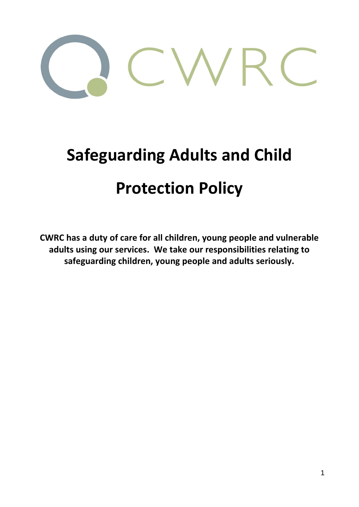

# **Safeguarding Adults and Child Protection Policy**

**CWRC has a duty of care for all children, young people and vulnerable adults using our services. We take our responsibilities relating to safeguarding children, young people and adults seriously.**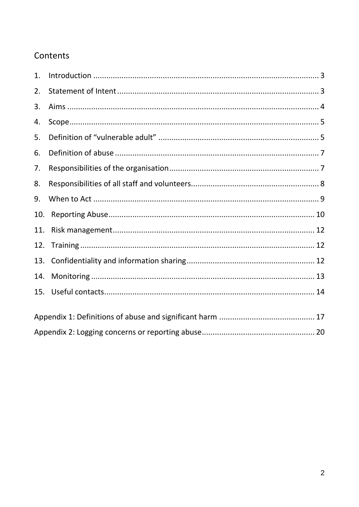# Contents

| 1.  |  |  |
|-----|--|--|
| 2.  |  |  |
| 3.  |  |  |
| 4.  |  |  |
| 5.  |  |  |
| 6.  |  |  |
| 7.  |  |  |
| 8.  |  |  |
| 9.  |  |  |
| 10. |  |  |
| 11. |  |  |
| 12. |  |  |
| 13. |  |  |
| 14. |  |  |
| 15. |  |  |
|     |  |  |
|     |  |  |
|     |  |  |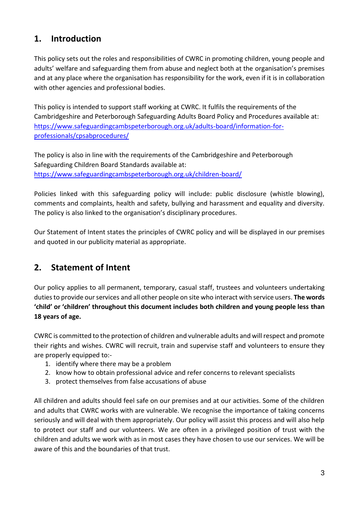# <span id="page-2-0"></span>**1. Introduction**

This policy sets out the roles and responsibilities of CWRC in promoting children, young people and adults' welfare and safeguarding them from abuse and neglect both at the organisation's premises and at any place where the organisation has responsibility for the work, even if it is in collaboration with other agencies and professional bodies.

This policy is intended to support staff working at CWRC. It fulfils the requirements of the Cambridgeshire and Peterborough Safeguarding Adults Board Policy and Procedures available at: [https://www.safeguardingcambspeterborough.org.uk/adults-board/information-for](https://www.safeguardingcambspeterborough.org.uk/adults-board/information-for-professionals/cpsabprocedures/)[professionals/cpsabprocedures/](https://www.safeguardingcambspeterborough.org.uk/adults-board/information-for-professionals/cpsabprocedures/)

The policy is also in line with the requirements of the Cambridgeshire and Peterborough Safeguarding Children Board Standards available at: <https://www.safeguardingcambspeterborough.org.uk/children-board/>

Policies linked with this safeguarding policy will include: public disclosure (whistle blowing), comments and complaints, health and safety, bullying and harassment and equality and diversity. The policy is also linked to the organisation's disciplinary procedures.

Our Statement of Intent states the principles of CWRC policy and will be displayed in our premises and quoted in our publicity material as appropriate.

# <span id="page-2-1"></span>**2. Statement of Intent**

Our policy applies to all permanent, temporary, casual staff, trustees and volunteers undertaking duties to provide our services and all other people on site who interact with service users. **The words 'child' or 'children' throughout this document includes both children and young people less than 18 years of age.**

CWRC is committed to the protection of children and vulnerable adults and will respect and promote their rights and wishes. CWRC will recruit, train and supervise staff and volunteers to ensure they are properly equipped to:-

- 1. identify where there may be a problem
- 2. know how to obtain professional advice and refer concerns to relevant specialists
- 3. protect themselves from false accusations of abuse

All children and adults should feel safe on our premises and at our activities. Some of the children and adults that CWRC works with are vulnerable. We recognise the importance of taking concerns seriously and will deal with them appropriately. Our policy will assist this process and will also help to protect our staff and our volunteers. We are often in a privileged position of trust with the children and adults we work with as in most cases they have chosen to use our services. We will be aware of this and the boundaries of that trust.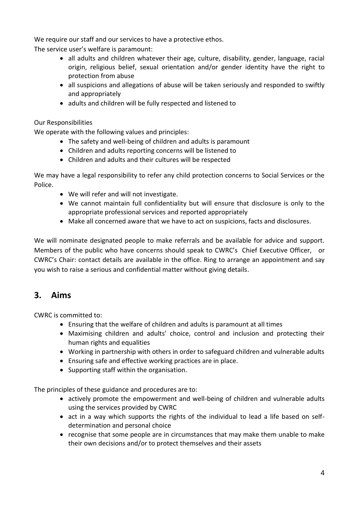We require our staff and our services to have a protective ethos.

The service user's welfare is paramount:

- all adults and children whatever their age, culture, disability, gender, language, racial origin, religious belief, sexual orientation and/or gender identity have the right to protection from abuse
- all suspicions and allegations of abuse will be taken seriously and responded to swiftly and appropriately
- adults and children will be fully respected and listened to

## Our Responsibilities

We operate with the following values and principles:

- The safety and well-being of children and adults is paramount
- Children and adults reporting concerns will be listened to
- Children and adults and their cultures will be respected

We may have a legal responsibility to refer any child protection concerns to Social Services or the Police.

- We will refer and will not investigate.
- We cannot maintain full confidentiality but will ensure that disclosure is only to the appropriate professional services and reported appropriately
- Make all concerned aware that we have to act on suspicions, facts and disclosures.

We will nominate designated people to make referrals and be available for advice and support. Members of the public who have concerns should speak to CWRC's Chief Executive Officer, or CWRC's Chair: contact details are available in the office. Ring to arrange an appointment and say you wish to raise a serious and confidential matter without giving details.

## <span id="page-3-0"></span>**3. Aims**

CWRC is committed to:

- Ensuring that the welfare of children and adults is paramount at all times
- Maximising children and adults' choice, control and inclusion and protecting their human rights and equalities
- Working in partnership with others in order to safeguard children and vulnerable adults
- Ensuring safe and effective working practices are in place.
- Supporting staff within the organisation.

The principles of these guidance and procedures are to:

- actively promote the empowerment and well-being of children and vulnerable adults using the services provided by CWRC
- act in a way which supports the rights of the individual to lead a life based on selfdetermination and personal choice
- recognise that some people are in circumstances that may make them unable to make their own decisions and/or to protect themselves and their assets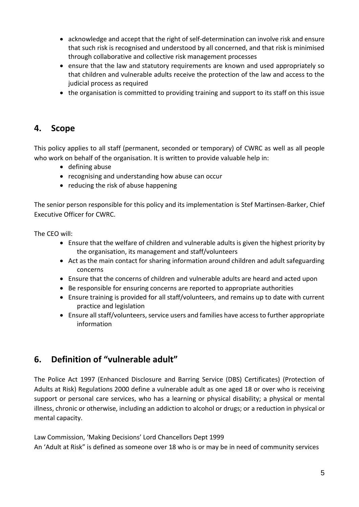- acknowledge and accept that the right of self-determination can involve risk and ensure that such risk is recognised and understood by all concerned, and that risk is minimised through collaborative and collective risk management processes
- ensure that the law and statutory requirements are known and used appropriately so that children and vulnerable adults receive the protection of the law and access to the judicial process as required
- the organisation is committed to providing training and support to its staff on this issue

# <span id="page-4-0"></span>**4. Scope**

This policy applies to all staff (permanent, seconded or temporary) of CWRC as well as all people who work on behalf of the organisation. It is written to provide valuable help in:

- defining abuse
- recognising and understanding how abuse can occur
- reducing the risk of abuse happening

The senior person responsible for this policy and its implementation is Stef Martinsen-Barker, Chief Executive Officer for CWRC.

The CEO will:

- Ensure that the welfare of children and vulnerable adults is given the highest priority by the organisation, its management and staff/volunteers
- Act as the main contact for sharing information around children and adult safeguarding concerns
- Ensure that the concerns of children and vulnerable adults are heard and acted upon
- Be responsible for ensuring concerns are reported to appropriate authorities
- Ensure training is provided for all staff/volunteers, and remains up to date with current practice and legislation
- Ensure all staff/volunteers, service users and families have access to further appropriate information

# <span id="page-4-1"></span>**6. Definition of "vulnerable adult"**

The Police Act 1997 (Enhanced Disclosure and Barring Service (DBS) Certificates) (Protection of Adults at Risk) Regulations 2000 define a vulnerable adult as one aged 18 or over who is receiving support or personal care services, who has a learning or physical disability; a physical or mental illness, chronic or otherwise, including an addiction to alcohol or drugs; or a reduction in physical or mental capacity.

Law Commission, 'Making Decisions' Lord Chancellors Dept 1999

An 'Adult at Risk" is defined as someone over 18 who is or may be in need of community services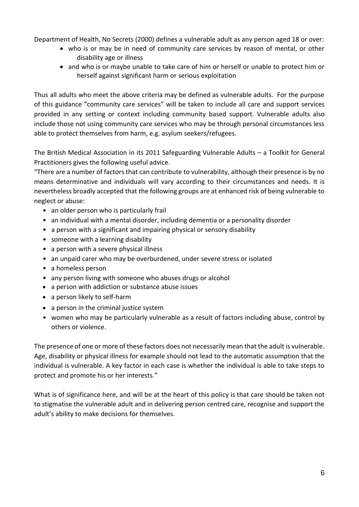Department of Health, No Secrets (2000) defines a vulnerable adult as any person aged 18 or over:

- who is or may be in need of community care services by reason of mental, or other disability age or illness
- and who is or maybe unable to take care of him or herself or unable to protect him or herself against significant harm or serious exploitation

Thus all adults who meet the above criteria may be defined as vulnerable adults. For the purpose of this guidance "community care services" will be taken to include all care and support services provided in any setting or context including community based support. Vulnerable adults also include those not using community care services who may be through personal circumstances less able to protect themselves from harm, e.g. asylum seekers/refugees.

The British Medical Association in its 2011 Safeguarding Vulnerable Adults – a Toolkit for General Practitioners gives the following useful advice.

"There are a number of factors that can contribute to vulnerability, although their presence is by no means determinative and individuals will vary according to their circumstances and needs. It is nevertheless broadly accepted that the following groups are at enhanced risk of being vulnerable to neglect or abuse:

- an older person who is particularly frail
- an individual with a mental disorder, including dementia or a personality disorder
- a person with a significant and impairing physical or sensory disability
- someone with a learning disability
- a person with a severe physical illness
- an unpaid carer who may be overburdened, under severe stress or isolated
- a homeless person
- any person living with someone who abuses drugs or alcohol
- a person with addiction or substance abuse issues
- a person likely to self-harm
- a person in the criminal justice system
- women who may be particularly vulnerable as a result of factors including abuse, control by others or violence.

The presence of one or more of these factors does not necessarily mean that the adult is vulnerable. Age, disability or physical illness for example should not lead to the automatic assumption that the individual is vulnerable. A key factor in each case is whether the individual is able to take steps to protect and promote his or her interests."

What is of significance here, and will be at the heart of this policy is that care should be taken not to stigmatise the vulnerable adult and in delivering person centred care, recognise and support the adult's ability to make decisions for themselves.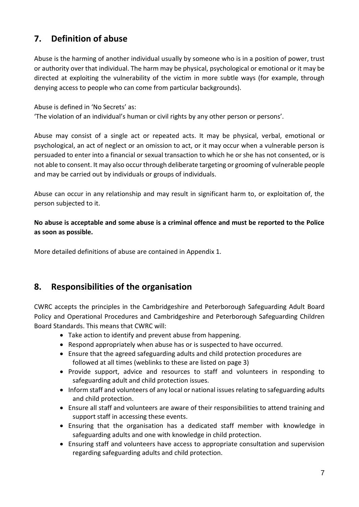# <span id="page-6-0"></span>**7. Definition of abuse**

Abuse is the harming of another individual usually by someone who is in a position of power, trust or authority over that individual. The harm may be physical, psychological or emotional or it may be directed at exploiting the vulnerability of the victim in more subtle ways (for example, through denying access to people who can come from particular backgrounds).

Abuse is defined in 'No Secrets' as:

'The violation of an individual's human or civil rights by any other person or persons'.

Abuse may consist of a single act or repeated acts. It may be physical, verbal, emotional or psychological, an act of neglect or an omission to act, or it may occur when a vulnerable person is persuaded to enter into a financial or sexual transaction to which he or she has not consented, or is not able to consent. It may also occur through deliberate targeting or grooming of vulnerable people and may be carried out by individuals or groups of individuals.

Abuse can occur in any relationship and may result in significant harm to, or exploitation of, the person subjected to it.

**No abuse is acceptable and some abuse is a criminal offence and must be reported to the Police as soon as possible.**

More detailed definitions of abuse are contained in Appendix 1.

# <span id="page-6-1"></span>**8. Responsibilities of the organisation**

CWRC accepts the principles in the Cambridgeshire and Peterborough Safeguarding Adult Board Policy and Operational Procedures and Cambridgeshire and Peterborough Safeguarding Children Board Standards. This means that CWRC will:

- Take action to identify and prevent abuse from happening.
- Respond appropriately when abuse has or is suspected to have occurred.
- Ensure that the agreed safeguarding adults and child protection procedures are followed at all times (weblinks to these are listed on page 3)
- Provide support, advice and resources to staff and volunteers in responding to safeguarding adult and child protection issues.
- Inform staff and volunteers of any local or national issues relating to safeguarding adults and child protection.
- Ensure all staff and volunteers are aware of their responsibilities to attend training and support staff in accessing these events.
- Ensuring that the organisation has a dedicated staff member with knowledge in safeguarding adults and one with knowledge in child protection.
- Ensuring staff and volunteers have access to appropriate consultation and supervision regarding safeguarding adults and child protection.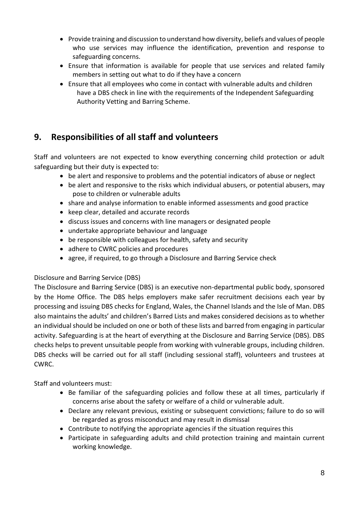- Provide training and discussion to understand how diversity, beliefs and values of people who use services may influence the identification, prevention and response to safeguarding concerns.
- Ensure that information is available for people that use services and related family members in setting out what to do if they have a concern
- Ensure that all employees who come in contact with vulnerable adults and children have a DBS check in line with the requirements of the Independent Safeguarding Authority Vetting and Barring Scheme.

# <span id="page-7-0"></span>**9. Responsibilities of all staff and volunteers**

Staff and volunteers are not expected to know everything concerning child protection or adult safeguarding but their duty is expected to:

- be alert and responsive to problems and the potential indicators of abuse or neglect
- be alert and responsive to the risks which individual abusers, or potential abusers, may pose to children or vulnerable adults
- share and analyse information to enable informed assessments and good practice
- keep clear, detailed and accurate records
- discuss issues and concerns with line managers or designated people
- undertake appropriate behaviour and language
- be responsible with colleagues for health, safety and security
- adhere to CWRC policies and procedures
- agree, if required, to go through a Disclosure and Barring Service check

## Disclosure and Barring Service (DBS)

The Disclosure and Barring Service (DBS) is an executive non-departmental public body, sponsored by the Home Office. The DBS helps employers make safer recruitment decisions each year by processing and issuing DBS checks for England, Wales, the Channel Islands and the Isle of Man. DBS also maintains the adults' and children's Barred Lists and makes considered decisions as to whether an individual should be included on one or both of these lists and barred from engaging in particular activity. Safeguarding is at the heart of everything at the Disclosure and Barring Service (DBS). DBS checks helps to prevent unsuitable people from working with vulnerable groups, including children. DBS checks will be carried out for all staff (including sessional staff), volunteers and trustees at CWRC.

Staff and volunteers must:

- Be familiar of the safeguarding policies and follow these at all times, particularly if concerns arise about the safety or welfare of a child or vulnerable adult.
- Declare any relevant previous, existing or subsequent convictions; failure to do so will be regarded as gross misconduct and may result in dismissal
- Contribute to notifying the appropriate agencies if the situation requires this
- Participate in safeguarding adults and child protection training and maintain current working knowledge.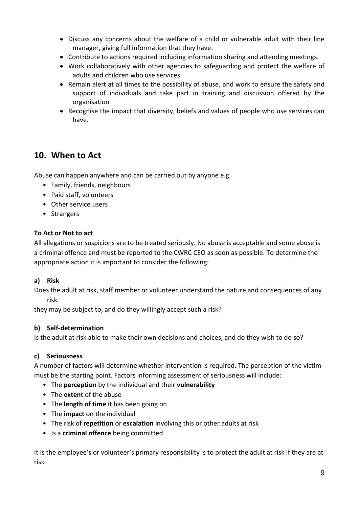- Discuss any concerns about the welfare of a child or vulnerable adult with their line manager, giving full information that they have.
- Contribute to actions required including information sharing and attending meetings.
- Work collaboratively with other agencies to safeguarding and protect the welfare of adults and children who use services.
- Remain alert at all times to the possibility of abuse, and work to ensure the safety and support of individuals and take part in training and discussion offered by the organisation
- Recognise the impact that diversity, beliefs and values of people who use services can have.

# <span id="page-8-0"></span>**10. When to Act**

Abuse can happen anywhere and can be carried out by anyone e.g.

- Family, friends, neighbours
- Paid staff, volunteers
- Other service users
- Strangers

#### **To Act or Not to act**

All allegations or suspicions are to be treated seriously. No abuse is acceptable and some abuse is a criminal offence and must be reported to the CWRC CEO as soon as possible. To determine the appropriate action it is important to consider the following:

#### **a) Risk**

Does the adult at risk, staff member or volunteer understand the nature and consequences of any risk

they may be subject to, and do they willingly accept such a risk?

#### **b) Self-determination**

Is the adult at risk able to make their own decisions and choices, and do they wish to do so?

#### **c) Seriousness**

A number of factors will determine whether intervention is required. The perception of the victim must be the starting point. Factors informing assessment of seriousness will include:

- The **perception** by the individual and their **vulnerability**
- The **extent** of the abuse
- The **length of time** it has been going on
- The **impact** on the individual
- The risk of **repetition** or **escalation** involving this or other adults at risk
- Is a **criminal offence** being committed

It is the employee's or volunteer's primary responsibility is to protect the adult at risk if they are at risk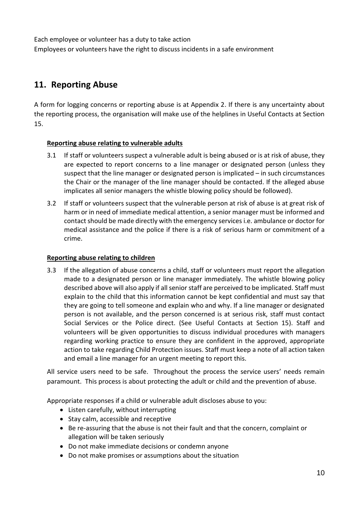Each employee or volunteer has a duty to take action Employees or volunteers have the right to discuss incidents in a safe environment

# <span id="page-9-0"></span>**11. Reporting Abuse**

A form for logging concerns or reporting abuse is at Appendix 2. If there is any uncertainty about the reporting process, the organisation will make use of the helplines in Useful Contacts at Section 15.

#### **Reporting abuse relating to vulnerable adults**

- 3.1 If staff or volunteers suspect a vulnerable adult is being abused or is at risk of abuse, they are expected to report concerns to a line manager or designated person (unless they suspect that the line manager or designated person is implicated – in such circumstances the Chair or the manager of the line manager should be contacted. If the alleged abuse implicates all senior managers the whistle blowing policy should be followed).
- 3.2 If staff or volunteers suspect that the vulnerable person at risk of abuse is at great risk of harm or in need of immediate medical attention, a senior manager must be informed and contact should be made directly with the emergency services i.e. ambulance or doctor for medical assistance and the police if there is a risk of serious harm or commitment of a crime.

#### **Reporting abuse relating to children**

3.3 If the allegation of abuse concerns a child, staff or volunteers must report the allegation made to a designated person or line manager immediately. The whistle blowing policy described above will also apply if all senior staff are perceived to be implicated. Staff must explain to the child that this information cannot be kept confidential and must say that they are going to tell someone and explain who and why. If a line manager or designated person is not available, and the person concerned is at serious risk, staff must contact Social Services or the Police direct. (See Useful Contacts at Section 15). Staff and volunteers will be given opportunities to discuss individual procedures with managers regarding working practice to ensure they are confident in the approved, appropriate action to take regarding Child Protection issues. Staff must keep a note of all action taken and email a line manager for an urgent meeting to report this.

All service users need to be safe. Throughout the process the service users' needs remain paramount. This process is about protecting the adult or child and the prevention of abuse.

Appropriate responses if a child or vulnerable adult discloses abuse to you:

- Listen carefully, without interrupting
- Stay calm, accessible and receptive
- Be re-assuring that the abuse is not their fault and that the concern, complaint or allegation will be taken seriously
- Do not make immediate decisions or condemn anyone
- Do not make promises or assumptions about the situation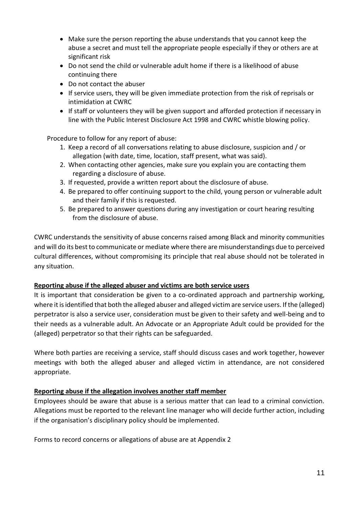- Make sure the person reporting the abuse understands that you cannot keep the abuse a secret and must tell the appropriate people especially if they or others are at significant risk
- Do not send the child or vulnerable adult home if there is a likelihood of abuse continuing there
- Do not contact the abuser
- If service users, they will be given immediate protection from the risk of reprisals or intimidation at CWRC
- If staff or volunteers they will be given support and afforded protection if necessary in line with the Public Interest Disclosure Act 1998 and CWRC whistle blowing policy.

Procedure to follow for any report of abuse:

- 1. Keep a record of all conversations relating to abuse disclosure, suspicion and / or allegation (with date, time, location, staff present, what was said).
- 2. When contacting other agencies, make sure you explain you are contacting them regarding a disclosure of abuse.
- 3. If requested, provide a written report about the disclosure of abuse.
- 4. Be prepared to offer continuing support to the child, young person or vulnerable adult and their family if this is requested.
- 5. Be prepared to answer questions during any investigation or court hearing resulting from the disclosure of abuse.

CWRC understands the sensitivity of abuse concerns raised among Black and minority communities and will do its best to communicate or mediate where there are misunderstandings due to perceived cultural differences, without compromising its principle that real abuse should not be tolerated in any situation.

## **Reporting abuse if the alleged abuser and victims are both service users**

It is important that consideration be given to a co-ordinated approach and partnership working, where it is identified that both the alleged abuser and alleged victim are service users. If the (alleged) perpetrator is also a service user, consideration must be given to their safety and well-being and to their needs as a vulnerable adult. An Advocate or an Appropriate Adult could be provided for the (alleged) perpetrator so that their rights can be safeguarded.

Where both parties are receiving a service, staff should discuss cases and work together, however meetings with both the alleged abuser and alleged victim in attendance, are not considered appropriate.

## **Reporting abuse if the allegation involves another staff member**

Employees should be aware that abuse is a serious matter that can lead to a criminal conviction. Allegations must be reported to the relevant line manager who will decide further action, including if the organisation's disciplinary policy should be implemented.

Forms to record concerns or allegations of abuse are at Appendix 2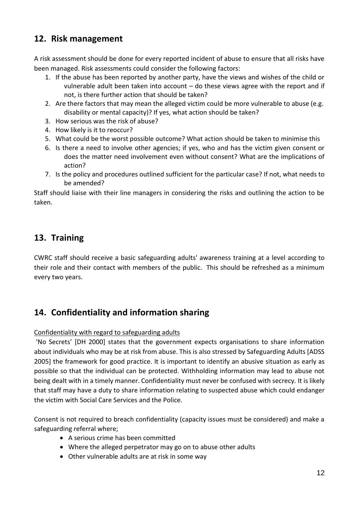# <span id="page-11-0"></span>**12. Risk management**

A risk assessment should be done for every reported incident of abuse to ensure that all risks have been managed. Risk assessments could consider the following factors:

- 1. If the abuse has been reported by another party, have the views and wishes of the child or vulnerable adult been taken into account – do these views agree with the report and if not, is there further action that should be taken?
- 2. Are there factors that may mean the alleged victim could be more vulnerable to abuse (e.g. disability or mental capacity)? If yes, what action should be taken?
- 3. How serious was the risk of abuse?
- 4. How likely is it to reoccur?
- 5. What could be the worst possible outcome? What action should be taken to minimise this
- 6. Is there a need to involve other agencies; if yes, who and has the victim given consent or does the matter need involvement even without consent? What are the implications of action?
- 7. Is the policy and procedures outlined sufficient for the particular case? If not, what needs to be amended?

Staff should liaise with their line managers in considering the risks and outlining the action to be taken.

# <span id="page-11-1"></span>**13. Training**

CWRC staff should receive a basic safeguarding adults' awareness training at a level according to their role and their contact with members of the public. This should be refreshed as a minimum every two years.

# <span id="page-11-2"></span>**14. Confidentiality and information sharing**

## Confidentiality with regard to safeguarding adults

'No Secrets' [DH 2000] states that the government expects organisations to share information about individuals who may be at risk from abuse. This is also stressed by Safeguarding Adults [ADSS 2005] the framework for good practice. It is important to identify an abusive situation as early as possible so that the individual can be protected. Withholding information may lead to abuse not being dealt with in a timely manner. Confidentiality must never be confused with secrecy. It is likely that staff may have a duty to share information relating to suspected abuse which could endanger the victim with Social Care Services and the Police.

Consent is not required to breach confidentiality (capacity issues must be considered) and make a safeguarding referral where;

- A serious crime has been committed
- Where the alleged perpetrator may go on to abuse other adults
- Other vulnerable adults are at risk in some way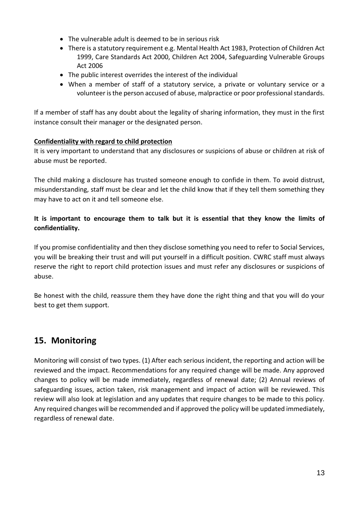- The vulnerable adult is deemed to be in serious risk
- There is a statutory requirement e.g. Mental Health Act 1983, Protection of Children Act 1999, Care Standards Act 2000, Children Act 2004, Safeguarding Vulnerable Groups Act 2006
- The public interest overrides the interest of the individual
- When a member of staff of a statutory service, a private or voluntary service or a volunteer is the person accused of abuse, malpractice or poor professional standards.

If a member of staff has any doubt about the legality of sharing information, they must in the first instance consult their manager or the designated person.

## **Confidentiality with regard to child protection**

It is very important to understand that any disclosures or suspicions of abuse or children at risk of abuse must be reported.

The child making a disclosure has trusted someone enough to confide in them. To avoid distrust, misunderstanding, staff must be clear and let the child know that if they tell them something they may have to act on it and tell someone else.

## **It is important to encourage them to talk but it is essential that they know the limits of confidentiality.**

If you promise confidentiality and then they disclose something you need to refer to Social Services, you will be breaking their trust and will put yourself in a difficult position. CWRC staff must always reserve the right to report child protection issues and must refer any disclosures or suspicions of abuse.

Be honest with the child, reassure them they have done the right thing and that you will do your best to get them support.

# <span id="page-12-0"></span>**15. Monitoring**

Monitoring will consist of two types. (1) After each serious incident, the reporting and action will be reviewed and the impact. Recommendations for any required change will be made. Any approved changes to policy will be made immediately, regardless of renewal date; (2) Annual reviews of safeguarding issues, action taken, risk management and impact of action will be reviewed. This review will also look at legislation and any updates that require changes to be made to this policy. Any required changes will be recommended and if approved the policy will be updated immediately, regardless of renewal date.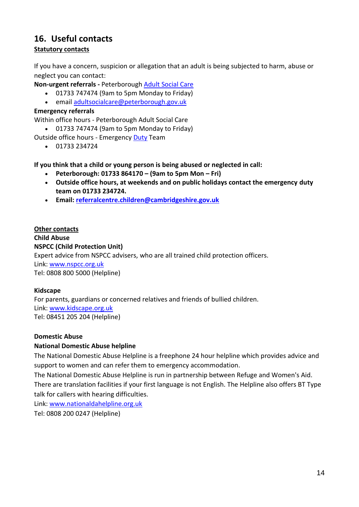## <span id="page-13-0"></span>**16. Useful contacts Statutory contacts**

If you have a concern, suspicion or allegation that an adult is being subjected to harm, abuse or neglect you can contact:

**Non-urgent referrals -** Peterborough [Adult Social Care](http://fis.peterborough.gov.uk/kb5/peterborough/directory/adult.page?adultchannel=5)

- 01733 747474 (9am to 5pm Monday to Friday)
- email [adultsocialcare@peterborough.gov.uk](mailto:adultsocialcare@peterborough.gcsx.gov.uk)

### **Emergency referrals**

Within office hours - Peterborough Adult Social Care

01733 747474 (9am to 5pm Monday to Friday)

Outside office hours - Emergency [Duty](http://fis.peterborough.gov.uk/kb5/peterborough/directory/adult.page?adultchannel=5) Team

 $-01733234724$ 

**If you think that a child or young person is being abused or neglected in call:**

- **Peterborough: 01733 864170 – (9am to 5pm Mon – Fri)**
- **Outside office hours, at weekends and on public holidays contact the emergency duty team on 01733 234724.**
- **Email: [referralcentre.children@cambridgeshire.gov.uk](mailto:referralcentre.children@cambridgeshire.gov.uk)**

## **Other contacts**

**Child Abuse NSPCC (Child Protection Unit)** Expert advice from NSPCC advisers, who are all trained child protection officers. Link: [www.nspcc.org.uk](http://www.nspcc.org.uk/) Tel: 0808 800 5000 (Helpline)

#### **Kidscape**

For parents, guardians or concerned relatives and friends of bullied children. Link: [www.kidscape.org.uk](http://www.kidscape.org.uk/) Tel: 08451 205 204 (Helpline)

#### **Domestic Abuse**

#### **National Domestic Abuse helpline**

The National Domestic Abuse Helpline is a freephone 24 hour helpline which provides advice and support to women and can refer them to emergency accommodation.

The National Domestic Abuse Helpline is run in partnership between Refuge and Women's Aid. There are translation facilities if your first language is not English. The Helpline also offers BT Type talk for callers with hearing difficulties.

Link: [www.nationaldahelpline.org.uk](http://www.nationaldahelpline.org.uk/)

Tel: 0808 200 0247 (Helpline)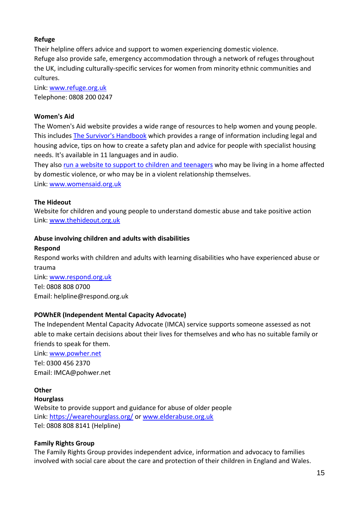## **Refuge**

Their helpline offers advice and support to women experiencing domestic violence. Refuge also provide safe, emergency accommodation through a network of refuges throughout the UK, including culturally-specific services for women from minority ethnic communities and cultures.

Link: [www.refuge.org.uk](http://www.refuge.org.uk/) Telephone: 0808 200 0247

## **Women's Aid**

The Women's Aid website provides a wide range of resources to help women and young people. This includes [The Survivor's Handbook](http://https/www.womensaid.org.uk/the-survivors-handbook/) which provides a range of information including legal and housing advice, tips on how to create a safety plan and advice for people with specialist housing needs. It's available in 11 languages and in audio.

They also run a website [to support to children](http://www.thehideout.org.uk/) and teenagers who may be living in a home affected by domestic violence, or who may be in a violent relationship themselves.

Link: [www.womensaid.org.uk](http://www.womensaid.org.uk/)

## **The Hideout**

Website for children and young people to understand domestic abuse and take positive action Link: [www.thehideout.org.uk](http://www.thehideout.org.uk/)

#### **Abuse involving children and adults with disabilities**

#### **Respond**

Respond works with children and adults with learning disabilities who have experienced abuse or trauma Link: [www.respond.org.uk](http://www.respond.org.uk/)

Tel: [0808 808 0700](tel:0808%20808%200700) Email: [helpline@respond.org.uk](mailto:helpline@respond.org.uk)

## **POWhER (Independent Mental Capacity Advocate)**

The Independent Mental Capacity Advocate (IMCA) service supports someone assessed as not able to make certain decisions about their lives for themselves and who has no suitable family or friends to speak for them.

Link: [www.powher.net](http://www.powher.net/) Tel: [0300 456 2370](tel:0300%20456%202370) Email: [IMCA@pohwer.net](mailto:IMCA@pohwer.net)

# **Other**

**Hourglass** Website to provide support and guidance for abuse of older people Link:<https://wearehourglass.org/> or [www.elderabuse.org.uk](http://www.elderabuse.org.uk/) Tel: 0808 808 8141 (Helpline)

## **Family Rights Group**

The Family Rights Group provides independent advice, information and advocacy to families involved with social care about the care and protection of their children in England and Wales.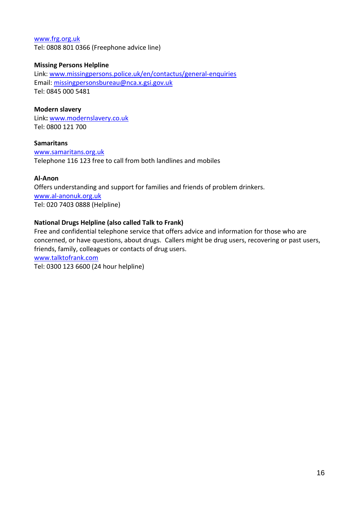#### [www.frg.org.uk](http://www.frg.org.uk/) Tel: 0808 801 0366 (Freephone advice line)

### **Missing Persons Helpline**

Link: [www.missingpersons.police.uk/en/contactus/general-enquiries](http://www.missingpersons.police.uk/en/contactus/general-enquiries) Email: [missingpersonsbureau@nca.x.gsi.gov.uk](mailto:missingpersonsbureau@nca.x.gsi.gov.uk) Tel: 0845 000 5481

### **Modern slavery**

Link**:** [www.modernslavery.co.uk](http://www.modernslavery.co.uk/)  Tel: 0800 121 700

#### **Samaritans** [www.samaritans.org.uk](http://www.samaritans.org.uk/) Telephone 116 123 free to call from both landlines and mobiles

## **Al-Anon**

Offers understanding and support for families and friends of problem drinkers. [www.al-anonuk.org.uk](http://www.al-anonuk.org.uk/) Tel: 020 7403 0888 (Helpline)

## **National Drugs Helpline (also called Talk to Frank)**

Free and confidential telephone service that offers advice and information for those who are concerned, or have questions, about drugs. Callers might be drug users, recovering or past users, friends, family, colleagues or contacts of drug users.

[www.talktofrank.com](http://www.talktofrank.com/)

Tel: 0300 123 6600 (24 hour helpline)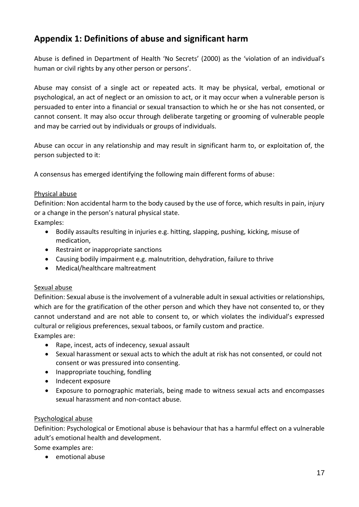# <span id="page-16-0"></span>**Appendix 1: Definitions of abuse and significant harm**

Abuse is defined in Department of Health 'No Secrets' (2000) as the 'violation of an individual's human or civil rights by any other person or persons'.

Abuse may consist of a single act or repeated acts. It may be physical, verbal, emotional or psychological, an act of neglect or an omission to act, or it may occur when a vulnerable person is persuaded to enter into a financial or sexual transaction to which he or she has not consented, or cannot consent. It may also occur through deliberate targeting or grooming of vulnerable people and may be carried out by individuals or groups of individuals.

Abuse can occur in any relationship and may result in significant harm to, or exploitation of, the person subjected to it:

A consensus has emerged identifying the following main different forms of abuse:

#### Physical abuse

Definition: Non accidental harm to the body caused by the use of force, which results in pain, injury or a change in the person's natural physical state.

Examples:

- Bodily assaults resulting in injuries e.g. hitting, slapping, pushing, kicking, misuse of medication,
- Restraint or inappropriate sanctions
- Causing bodily impairment e.g. malnutrition, dehydration, failure to thrive
- Medical/healthcare maltreatment

## Sexual abuse

Definition: Sexual abuse is the involvement of a vulnerable adult in sexual activities or relationships, which are for the gratification of the other person and which they have not consented to, or they cannot understand and are not able to consent to, or which violates the individual's expressed cultural or religious preferences, sexual taboos, or family custom and practice. Examples are:

- Rape, incest, acts of indecency, sexual assault
- Sexual harassment or sexual acts to which the adult at risk has not consented, or could not consent or was pressured into consenting.
- Inappropriate touching, fondling
- Indecent exposure
- Exposure to pornographic materials, being made to witness sexual acts and encompasses sexual harassment and non-contact abuse.

## Psychological abuse

Definition: Psychological or Emotional abuse is behaviour that has a harmful effect on a vulnerable adult's emotional health and development.

Some examples are:

emotional abuse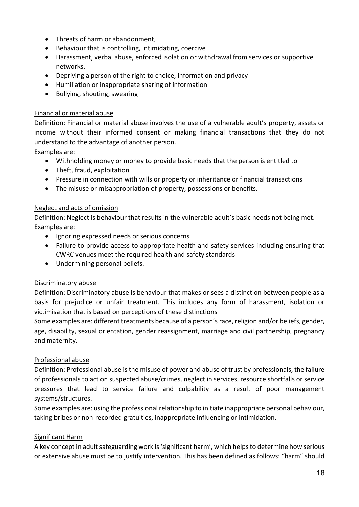- Threats of harm or abandonment,
- Behaviour that is controlling, intimidating, coercive
- Harassment, verbal abuse, enforced isolation or withdrawal from services or supportive networks.
- Depriving a person of the right to choice, information and privacy
- Humiliation or inappropriate sharing of information
- Bullying, shouting, swearing

#### Financial or material abuse

Definition: Financial or material abuse involves the use of a vulnerable adult's property, assets or income without their informed consent or making financial transactions that they do not understand to the advantage of another person.

Examples are:

- Withholding money or money to provide basic needs that the person is entitled to
- Theft, fraud, exploitation
- Pressure in connection with wills or property or inheritance or financial transactions
- The misuse or misappropriation of property, possessions or benefits.

#### Neglect and acts of omission

Definition: Neglect is behaviour that results in the vulnerable adult's basic needs not being met. Examples are:

- Ignoring expressed needs or serious concerns
- Failure to provide access to appropriate health and safety services including ensuring that CWRC venues meet the required health and safety standards
- Undermining personal beliefs.

#### Discriminatory abuse

Definition: Discriminatory abuse is behaviour that makes or sees a distinction between people as a basis for prejudice or unfair treatment. This includes any form of harassment, isolation or victimisation that is based on perceptions of these distinctions

Some examples are: different treatments because of a person's race, religion and/or beliefs, gender, age, disability, sexual orientation, gender reassignment, marriage and civil partnership, pregnancy and maternity.

#### Professional abuse

Definition: Professional abuse is the misuse of power and abuse of trust by professionals, the failure of professionals to act on suspected abuse/crimes, neglect in services, resource shortfalls or service pressures that lead to service failure and culpability as a result of poor management systems/structures.

Some examples are: using the professional relationship to initiate inappropriate personal behaviour, taking bribes or non-recorded gratuities, inappropriate influencing or intimidation.

#### Significant Harm

A key concept in adult safeguarding work is 'significant harm', which helps to determine how serious or extensive abuse must be to justify intervention. This has been defined as follows: "harm" should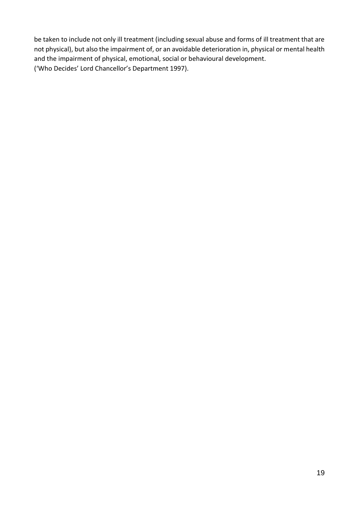be taken to include not only ill treatment (including sexual abuse and forms of ill treatment that are not physical), but also the impairment of, or an avoidable deterioration in, physical or mental health and the impairment of physical, emotional, social or behavioural development. ('Who Decides' Lord Chancellor's Department 1997).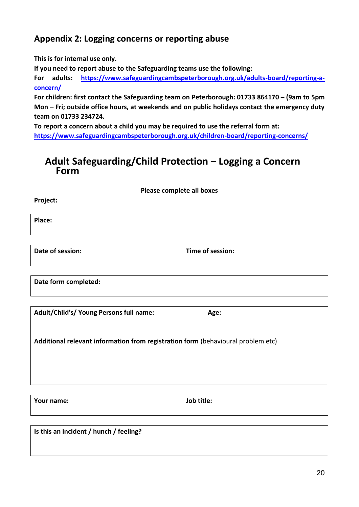# <span id="page-19-0"></span>**Appendix 2: Logging concerns or reporting abuse**

**This is for internal use only.** 

**If you need to report abuse to the Safeguarding teams use the following:**

**For adults: [https://www.safeguardingcambspeterborough.org.uk/adults-board/reporting-a](https://www.safeguardingcambspeterborough.org.uk/adults-board/reporting-a-concern/)[concern/](https://www.safeguardingcambspeterborough.org.uk/adults-board/reporting-a-concern/)**

**For children: first contact the Safeguarding team on Peterborough: 01733 864170 – (9am to 5pm Mon – Fri; outside office hours, at weekends and on public holidays contact the emergency duty team on 01733 234724.**

**To report a concern about a child you may be required to use the referral form at: <https://www.safeguardingcambspeterborough.org.uk/children-board/reporting-concerns/>**

# **Adult Safeguarding/Child Protection – Logging a Concern Form**

**Please complete all boxes**

**Project:** 

**Place:**

**Date of session: Time of session:**

**Date form completed:**

**Adult/Child's/ Young Persons full name: Age:**

**Additional relevant information from registration form** (behavioural problem etc)

**Your name: Job title:**

**Is this an incident / hunch / feeling?**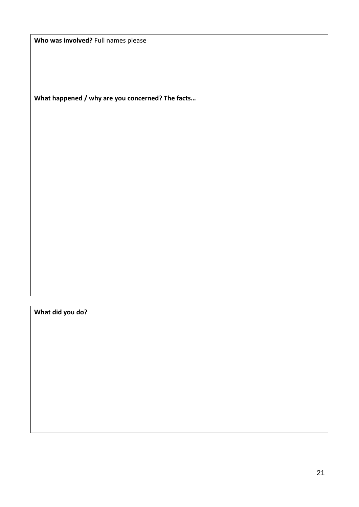**Who was involved?** Full names please

**What happened / why are you concerned? The facts…**

**What did you do?**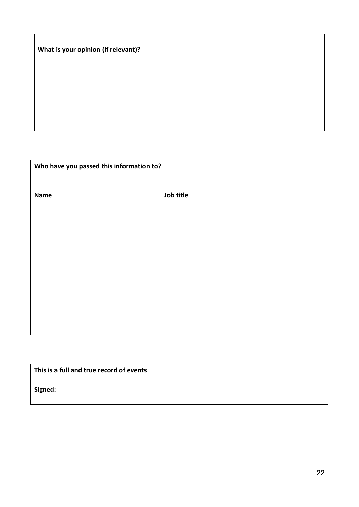**What is your opinion (if relevant)?**

**Who have you passed this information to?**

**Name Job title**

**This is a full and true record of events**

**Signed:**